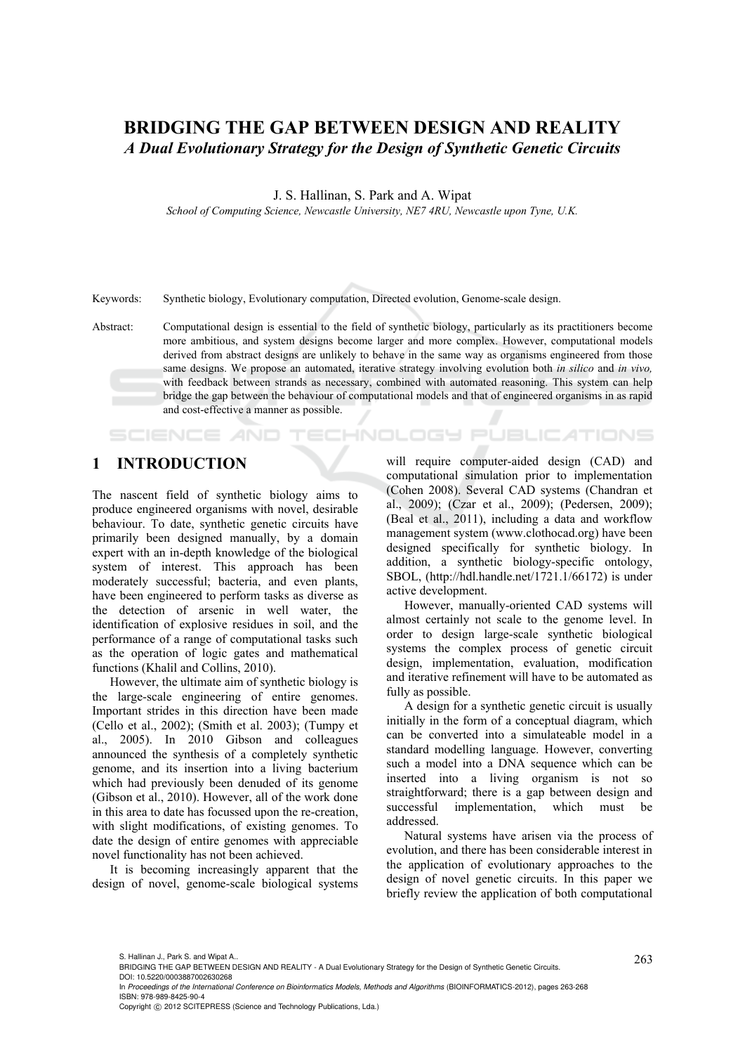# **BRIDGING THE GAP BETWEEN DESIGN AND REALITY**  *A Dual Evolutionary Strategy for the Design of Synthetic Genetic Circuits*

J. S. Hallinan, S. Park and A. Wipat

*School of Computing Science, Newcastle University, NE7 4RU, Newcastle upon Tyne, U.K.* 

Keywords: Synthetic biology, Evolutionary computation, Directed evolution, Genome-scale design.

Abstract: Computational design is essential to the field of synthetic biology, particularly as its practitioners become more ambitious, and system designs become larger and more complex. However, computational models derived from abstract designs are unlikely to behave in the same way as organisms engineered from those same designs. We propose an automated, iterative strategy involving evolution both *in silico* and *in vivo,*  with feedback between strands as necessary, combined with automated reasoning. This system can help bridge the gap between the behaviour of computational models and that of engineered organisms in as rapid and cost-effective a manner as possible.

## **1 INTRODUCTION**

**SCIENCE AND** 

The nascent field of synthetic biology aims to produce engineered organisms with novel, desirable behaviour. To date, synthetic genetic circuits have primarily been designed manually, by a domain expert with an in-depth knowledge of the biological system of interest. This approach has been moderately successful; bacteria, and even plants, have been engineered to perform tasks as diverse as the detection of arsenic in well water, the identification of explosive residues in soil, and the performance of a range of computational tasks such as the operation of logic gates and mathematical functions (Khalil and Collins, 2010).

However, the ultimate aim of synthetic biology is the large-scale engineering of entire genomes. Important strides in this direction have been made (Cello et al., 2002); (Smith et al. 2003); (Tumpy et al., 2005). In 2010 Gibson and colleagues announced the synthesis of a completely synthetic genome, and its insertion into a living bacterium which had previously been denuded of its genome (Gibson et al., 2010). However, all of the work done in this area to date has focussed upon the re-creation, with slight modifications, of existing genomes. To date the design of entire genomes with appreciable novel functionality has not been achieved.

It is becoming increasingly apparent that the design of novel, genome-scale biological systems will require computer-aided design (CAD) and computational simulation prior to implementation (Cohen 2008). Several CAD systems (Chandran et al., 2009); (Czar et al., 2009); (Pedersen, 2009); (Beal et al., 2011), including a data and workflow management system (www.clothocad.org) have been designed specifically for synthetic biology. In addition, a synthetic biology-specific ontology, SBOL, (http://hdl.handle.net/1721.1/66172) is under active development.

**ECHNOLOGY PUBLICATIONS** 

However, manually-oriented CAD systems will almost certainly not scale to the genome level. In order to design large-scale synthetic biological systems the complex process of genetic circuit design, implementation, evaluation, modification and iterative refinement will have to be automated as fully as possible.

A design for a synthetic genetic circuit is usually initially in the form of a conceptual diagram, which can be converted into a simulateable model in a standard modelling language. However, converting such a model into a DNA sequence which can be inserted into a living organism is not so straightforward; there is a gap between design and successful implementation, which must be addressed.

Natural systems have arisen via the process of evolution, and there has been considerable interest in the application of evolutionary approaches to the design of novel genetic circuits. In this paper we briefly review the application of both computational

S. Hallinan J., Park S. and Wipat A..<br>BRIDGING THE GAP BETWEEN DESIGN AND REALITY - A Dual Evolutionary Strategy for the Design of Synthetic Genetic Circuits.  $\,263\,$ DOI: 10.5220/0003887002630268

In Proceedings of the International Conference on Bioinformatics Models, Methods and Algorithms (BIOINFORMATICS-2012), pages 263-268 ISBN: 978-989-8425-90-4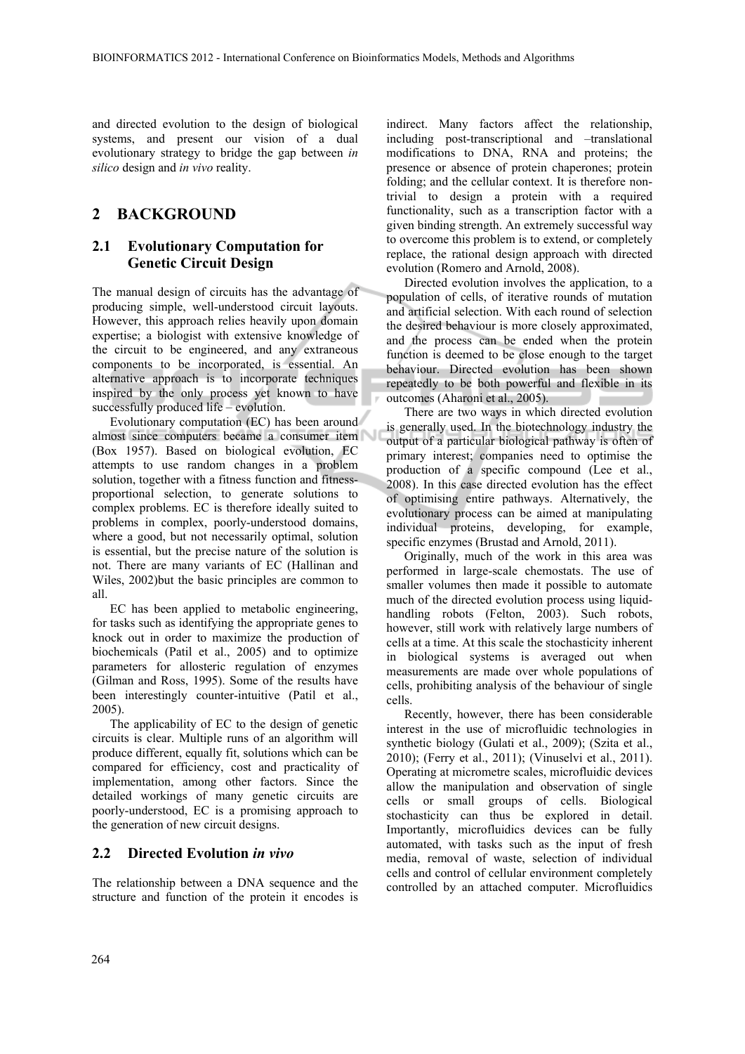and directed evolution to the design of biological systems, and present our vision of a dual evolutionary strategy to bridge the gap between *in silico* design and *in vivo* reality.

### **2 BACKGROUND**

### **2.1 Evolutionary Computation for Genetic Circuit Design**

The manual design of circuits has the advantage of producing simple, well-understood circuit layouts. However, this approach relies heavily upon domain expertise; a biologist with extensive knowledge of the circuit to be engineered, and any extraneous components to be incorporated, is essential. An alternative approach is to incorporate techniques inspired by the only process yet known to have successfully produced life – evolution.

Evolutionary computation (EC) has been around almost since computers became a consumer item (Box 1957). Based on biological evolution, EC attempts to use random changes in a problem solution, together with a fitness function and fitnessproportional selection, to generate solutions to complex problems. EC is therefore ideally suited to problems in complex, poorly-understood domains, where a good, but not necessarily optimal, solution is essential, but the precise nature of the solution is not. There are many variants of EC (Hallinan and Wiles, 2002)but the basic principles are common to all.

EC has been applied to metabolic engineering, for tasks such as identifying the appropriate genes to knock out in order to maximize the production of biochemicals (Patil et al., 2005) and to optimize parameters for allosteric regulation of enzymes (Gilman and Ross, 1995). Some of the results have been interestingly counter-intuitive (Patil et al., 2005).

The applicability of EC to the design of genetic circuits is clear. Multiple runs of an algorithm will produce different, equally fit, solutions which can be compared for efficiency, cost and practicality of implementation, among other factors. Since the detailed workings of many genetic circuits are poorly-understood, EC is a promising approach to the generation of new circuit designs.

#### **2.2 Directed Evolution** *in vivo*

The relationship between a DNA sequence and the structure and function of the protein it encodes is

indirect. Many factors affect the relationship, including post-transcriptional and –translational modifications to DNA, RNA and proteins; the presence or absence of protein chaperones; protein folding; and the cellular context. It is therefore nontrivial to design a protein with a required functionality, such as a transcription factor with a given binding strength. An extremely successful way to overcome this problem is to extend, or completely replace, the rational design approach with directed evolution (Romero and Arnold, 2008).

Directed evolution involves the application, to a population of cells, of iterative rounds of mutation and artificial selection. With each round of selection the desired behaviour is more closely approximated, and the process can be ended when the protein function is deemed to be close enough to the target behaviour. Directed evolution has been shown repeatedly to be both powerful and flexible in its outcomes (Aharoni et al., 2005).

There are two ways in which directed evolution is generally used. In the biotechnology industry the output of a particular biological pathway is often of primary interest; companies need to optimise the production of a specific compound (Lee et al., 2008). In this case directed evolution has the effect of optimising entire pathways. Alternatively, the evolutionary process can be aimed at manipulating individual proteins, developing, for example, specific enzymes (Brustad and Arnold, 2011).

Originally, much of the work in this area was performed in large-scale chemostats. The use of smaller volumes then made it possible to automate much of the directed evolution process using liquidhandling robots (Felton, 2003). Such robots, however, still work with relatively large numbers of cells at a time. At this scale the stochasticity inherent in biological systems is averaged out when measurements are made over whole populations of cells, prohibiting analysis of the behaviour of single cells.

Recently, however, there has been considerable interest in the use of microfluidic technologies in synthetic biology (Gulati et al., 2009); (Szita et al., 2010); (Ferry et al., 2011); (Vinuselvi et al., 2011). Operating at micrometre scales, microfluidic devices allow the manipulation and observation of single cells or small groups of cells. Biological stochasticity can thus be explored in detail. Importantly, microfluidics devices can be fully automated, with tasks such as the input of fresh media, removal of waste, selection of individual cells and control of cellular environment completely controlled by an attached computer. Microfluidics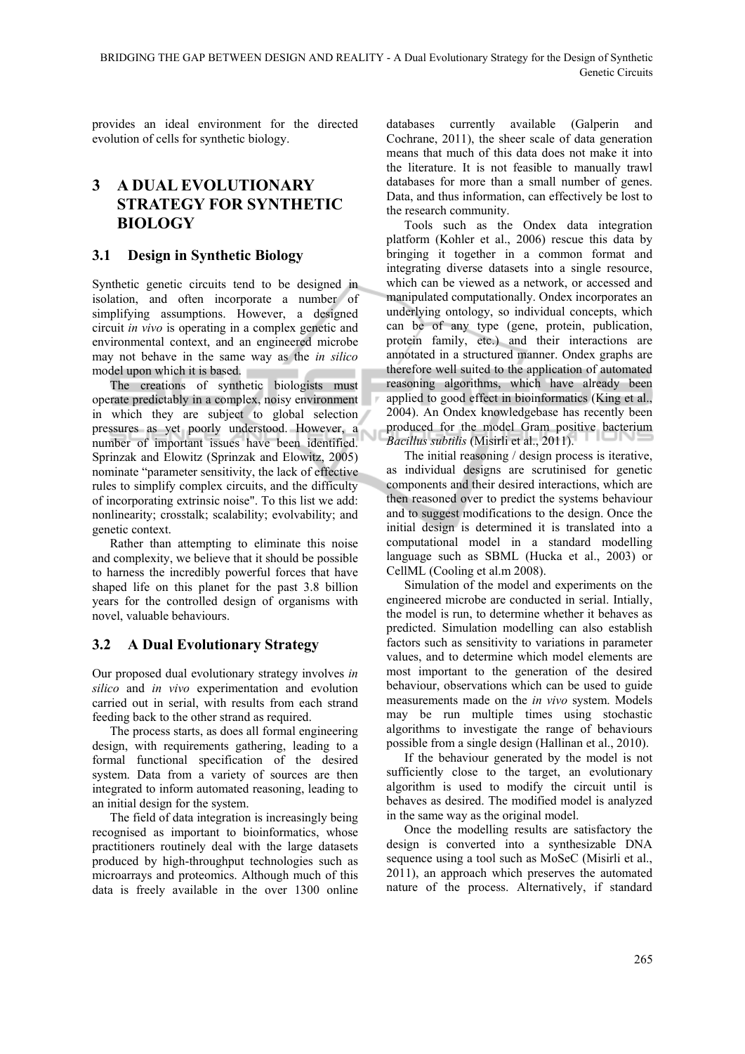provides an ideal environment for the directed evolution of cells for synthetic biology.

## **3 A DUAL EVOLUTIONARY STRATEGY FOR SYNTHETIC BIOLOGY**

### **3.1 Design in Synthetic Biology**

Synthetic genetic circuits tend to be designed in isolation, and often incorporate a number of simplifying assumptions. However, a designed circuit *in vivo* is operating in a complex genetic and environmental context, and an engineered microbe may not behave in the same way as the *in silico* model upon which it is based.

The creations of synthetic biologists must operate predictably in a complex, noisy environment in which they are subject to global selection pressures as yet poorly understood. However, a number of important issues have been identified. Sprinzak and Elowitz (Sprinzak and Elowitz, 2005) nominate "parameter sensitivity, the lack of effective rules to simplify complex circuits, and the difficulty of incorporating extrinsic noise". To this list we add: nonlinearity; crosstalk; scalability; evolvability; and genetic context.

Rather than attempting to eliminate this noise and complexity, we believe that it should be possible to harness the incredibly powerful forces that have shaped life on this planet for the past 3.8 billion years for the controlled design of organisms with novel, valuable behaviours.

### **3.2 A Dual Evolutionary Strategy**

Our proposed dual evolutionary strategy involves *in silico* and *in vivo* experimentation and evolution carried out in serial, with results from each strand feeding back to the other strand as required.

The process starts, as does all formal engineering design, with requirements gathering, leading to a formal functional specification of the desired system. Data from a variety of sources are then integrated to inform automated reasoning, leading to an initial design for the system.

The field of data integration is increasingly being recognised as important to bioinformatics, whose practitioners routinely deal with the large datasets produced by high-throughput technologies such as microarrays and proteomics. Although much of this data is freely available in the over 1300 online

databases currently available (Galperin and Cochrane, 2011), the sheer scale of data generation means that much of this data does not make it into the literature. It is not feasible to manually trawl databases for more than a small number of genes. Data, and thus information, can effectively be lost to the research community.

Tools such as the Ondex data integration platform (Kohler et al., 2006) rescue this data by bringing it together in a common format and integrating diverse datasets into a single resource, which can be viewed as a network, or accessed and manipulated computationally. Ondex incorporates an underlying ontology, so individual concepts, which can be of any type (gene, protein, publication, protein family, etc.) and their interactions are annotated in a structured manner. Ondex graphs are therefore well suited to the application of automated reasoning algorithms, which have already been applied to good effect in bioinformatics (King et al., 2004). An Ondex knowledgebase has recently been produced for the model Gram positive bacterium *Bacillus subtilis* (Misirli et al., 2011).

The initial reasoning / design process is iterative, as individual designs are scrutinised for genetic components and their desired interactions, which are then reasoned over to predict the systems behaviour and to suggest modifications to the design. Once the initial design is determined it is translated into a computational model in a standard modelling language such as SBML (Hucka et al., 2003) or CellML (Cooling et al.m 2008).

Simulation of the model and experiments on the engineered microbe are conducted in serial. Intially, the model is run, to determine whether it behaves as predicted. Simulation modelling can also establish factors such as sensitivity to variations in parameter values, and to determine which model elements are most important to the generation of the desired behaviour, observations which can be used to guide measurements made on the *in vivo* system. Models may be run multiple times using stochastic algorithms to investigate the range of behaviours possible from a single design (Hallinan et al., 2010).

If the behaviour generated by the model is not sufficiently close to the target, an evolutionary algorithm is used to modify the circuit until is behaves as desired. The modified model is analyzed in the same way as the original model.

Once the modelling results are satisfactory the design is converted into a synthesizable DNA sequence using a tool such as MoSeC (Misirli et al., 2011), an approach which preserves the automated nature of the process. Alternatively, if standard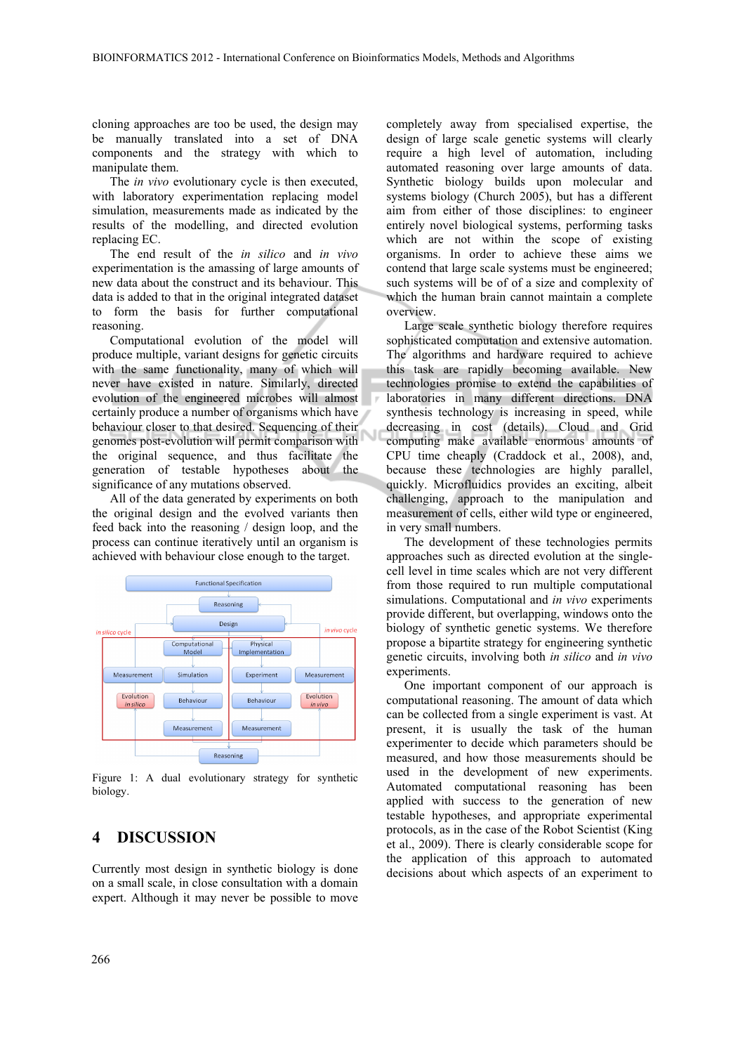cloning approaches are too be used, the design may be manually translated into a set of DNA components and the strategy with which to manipulate them.

The *in vivo* evolutionary cycle is then executed, with laboratory experimentation replacing model simulation, measurements made as indicated by the results of the modelling, and directed evolution replacing EC.

The end result of the *in silico* and *in vivo* experimentation is the amassing of large amounts of new data about the construct and its behaviour. This data is added to that in the original integrated dataset to form the basis for further computational reasoning.

Computational evolution of the model will produce multiple, variant designs for genetic circuits with the same functionality, many of which will never have existed in nature. Similarly, directed evolution of the engineered microbes will almost certainly produce a number of organisms which have behaviour closer to that desired. Sequencing of their genomes post-evolution will permit comparison with the original sequence, and thus facilitate the generation of testable hypotheses about the significance of any mutations observed.

All of the data generated by experiments on both the original design and the evolved variants then feed back into the reasoning / design loop, and the process can continue iteratively until an organism is achieved with behaviour close enough to the target.



Figure 1: A dual evolutionary strategy for synthetic biology.

#### **4 DISCUSSION**

Currently most design in synthetic biology is done on a small scale, in close consultation with a domain expert. Although it may never be possible to move

completely away from specialised expertise, the design of large scale genetic systems will clearly require a high level of automation, including automated reasoning over large amounts of data. Synthetic biology builds upon molecular and systems biology (Church 2005), but has a different aim from either of those disciplines: to engineer entirely novel biological systems, performing tasks which are not within the scope of existing organisms. In order to achieve these aims we contend that large scale systems must be engineered; such systems will be of of a size and complexity of which the human brain cannot maintain a complete overview.

Large scale synthetic biology therefore requires sophisticated computation and extensive automation. The algorithms and hardware required to achieve this task are rapidly becoming available. New technologies promise to extend the capabilities of laboratories in many different directions. DNA synthesis technology is increasing in speed, while decreasing in cost (details). Cloud and Grid computing make available enormous amounts of CPU time cheaply (Craddock et al., 2008), and, because these technologies are highly parallel, quickly. Microfluidics provides an exciting, albeit challenging, approach to the manipulation and measurement of cells, either wild type or engineered, in very small numbers.

The development of these technologies permits approaches such as directed evolution at the singlecell level in time scales which are not very different from those required to run multiple computational simulations. Computational and *in vivo* experiments provide different, but overlapping, windows onto the biology of synthetic genetic systems. We therefore propose a bipartite strategy for engineering synthetic genetic circuits, involving both *in silico* and *in vivo*  experiments.

One important component of our approach is computational reasoning. The amount of data which can be collected from a single experiment is vast. At present, it is usually the task of the human experimenter to decide which parameters should be measured, and how those measurements should be used in the development of new experiments. Automated computational reasoning has been applied with success to the generation of new testable hypotheses, and appropriate experimental protocols, as in the case of the Robot Scientist (King et al., 2009). There is clearly considerable scope for the application of this approach to automated decisions about which aspects of an experiment to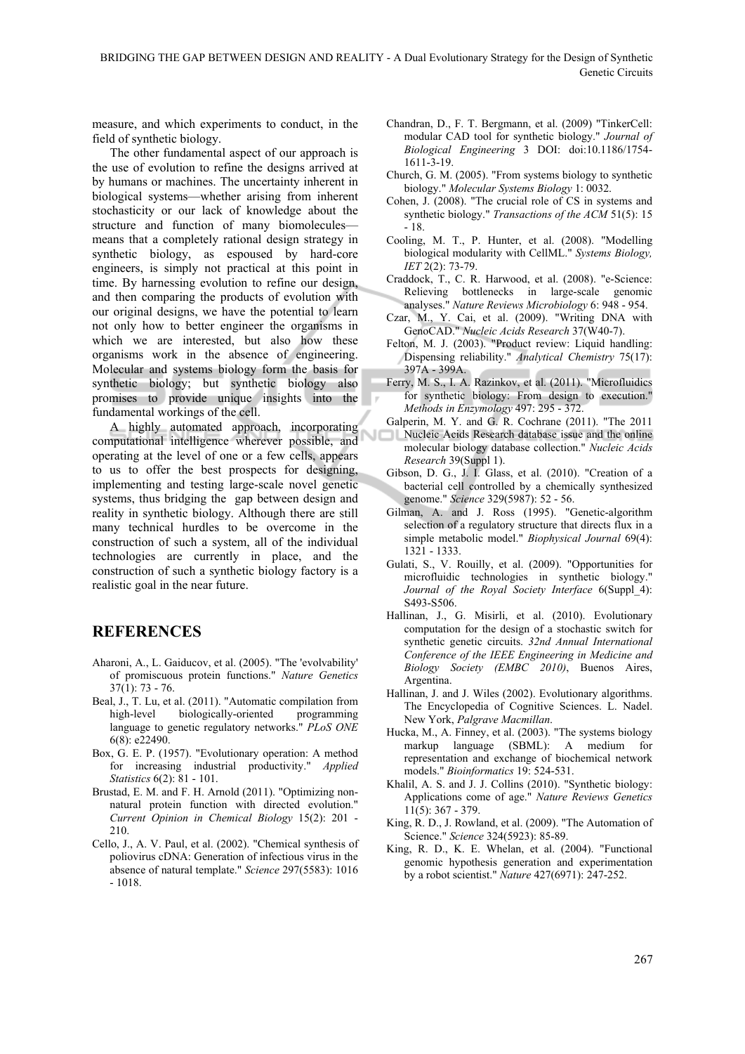measure, and which experiments to conduct, in the field of synthetic biology.

The other fundamental aspect of our approach is the use of evolution to refine the designs arrived at by humans or machines. The uncertainty inherent in biological systems—whether arising from inherent stochasticity or our lack of knowledge about the structure and function of many biomolecules means that a completely rational design strategy in synthetic biology, as espoused by hard-core engineers, is simply not practical at this point in time. By harnessing evolution to refine our design, and then comparing the products of evolution with our original designs, we have the potential to learn not only how to better engineer the organisms in which we are interested, but also how these organisms work in the absence of engineering. Molecular and systems biology form the basis for synthetic biology; but synthetic biology also promises to provide unique insights into the fundamental workings of the cell.

A highly automated approach, incorporating computational intelligence wherever possible, and operating at the level of one or a few cells, appears to us to offer the best prospects for designing, implementing and testing large-scale novel genetic systems, thus bridging the gap between design and reality in synthetic biology. Although there are still many technical hurdles to be overcome in the construction of such a system, all of the individual technologies are currently in place, and the construction of such a synthetic biology factory is a realistic goal in the near future.

## **REFERENCES**

- Aharoni, A., L. Gaiducov, et al. (2005). "The 'evolvability' of promiscuous protein functions." *Nature Genetics* 37(1): 73 - 76.
- Beal, J., T. Lu, et al. (2011). "Automatic compilation from high-level biologically-oriented programming language to genetic regulatory networks." *PLoS ONE* 6(8): e22490.
- Box, G. E. P. (1957). "Evolutionary operation: A method for increasing industrial productivity." *Applied Statistics* 6(2): 81 - 101.
- Brustad, E. M. and F. H. Arnold (2011). "Optimizing nonnatural protein function with directed evolution." *Current Opinion in Chemical Biology* 15(2): 201 - 210.
- Cello, J., A. V. Paul, et al. (2002). "Chemical synthesis of poliovirus cDNA: Generation of infectious virus in the absence of natural template." *Science* 297(5583): 1016 - 1018.
- Chandran, D., F. T. Bergmann, et al. (2009) "TinkerCell: modular CAD tool for synthetic biology." *Journal of Biological Engineering* 3 DOI: doi:10.1186/1754- 1611-3-19.
- Church, G. M. (2005). "From systems biology to synthetic biology." *Molecular Systems Biology* 1: 0032.
- Cohen, J. (2008). "The crucial role of CS in systems and synthetic biology." *Transactions of the ACM* 51(5): 15 - 18.
- Cooling, M. T., P. Hunter, et al. (2008). "Modelling biological modularity with CellML." *Systems Biology, IET* 2(2): 73-79.
- Craddock, T., C. R. Harwood, et al. (2008). "e-Science: Relieving bottlenecks in large-scale genomic analyses." *Nature Reviews Microbiology* 6: 948 - 954.
- Czar, M., Y. Cai, et al. (2009). "Writing DNA with GenoCAD." *Nucleic Acids Research* 37(W40-7).
- Felton, M. J. (2003). "Product review: Liquid handling: Dispensing reliability." *Analytical Chemistry* 75(17): 397A - 399A.
- Ferry, M. S., I. A. Razinkov, et al. (2011). "Microfluidics for synthetic biology: From design to execution." *Methods in Enzymology* 497: 295 - 372.
- Galperin, M. Y. and G. R. Cochrane (2011). "The 2011
- Nucleic Acids Research database issue and the online molecular biology database collection." *Nucleic Acids Research* 39(Suppl 1).
- Gibson, D. G., J. I. Glass, et al. (2010). "Creation of a bacterial cell controlled by a chemically synthesized genome." *Science* 329(5987): 52 - 56.
- Gilman, A. and J. Ross (1995). "Genetic-algorithm selection of a regulatory structure that directs flux in a simple metabolic model." *Biophysical Journal* 69(4): 1321 - 1333.
- Gulati, S., V. Rouilly, et al. (2009). "Opportunities for microfluidic technologies in synthetic biology." *Journal of the Royal Society Interface* 6(Suppl\_4): S493-S506.
- Hallinan, J., G. Misirli, et al. (2010). Evolutionary computation for the design of a stochastic switch for synthetic genetic circuits. *32nd Annual International Conference of the IEEE Engineering in Medicine and Biology Society (EMBC 2010)*, Buenos Aires, Argentina.
- Hallinan, J. and J. Wiles (2002). Evolutionary algorithms. The Encyclopedia of Cognitive Sciences. L. Nadel. New York, *Palgrave Macmillan*.
- Hucka, M., A. Finney, et al. (2003). "The systems biology markup language (SBML): A medium for representation and exchange of biochemical network models." *Bioinformatics* 19: 524-531.
- Khalil, A. S. and J. J. Collins (2010). "Synthetic biology: Applications come of age." *Nature Reviews Genetics* 11(5): 367 - 379.
- King, R. D., J. Rowland, et al. (2009). "The Automation of Science." *Science* 324(5923): 85-89.
- King, R. D., K. E. Whelan, et al. (2004). "Functional genomic hypothesis generation and experimentation by a robot scientist." *Nature* 427(6971): 247-252.